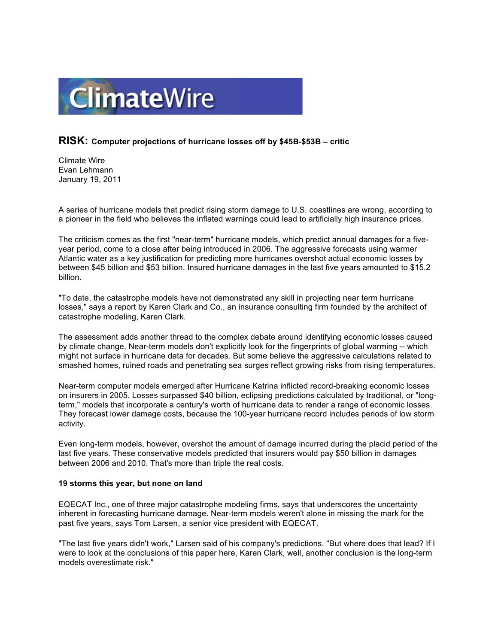

## **RISK: Computer projections of hurricane losses off by \$45B-\$53B – critic**

Climate Wire Evan Lehmann January 19, 2011

A series of hurricane models that predict rising storm damage to U.S. coastlines are wrong, according to a pioneer in the field who believes the inflated warnings could lead to artificially high insurance prices.

The criticism comes as the first "near-term" hurricane models, which predict annual damages for a fiveyear period, come to a close after being introduced in 2006. The aggressive forecasts using warmer Atlantic water as a key justification for predicting more hurricanes overshot actual economic losses by between \$45 billion and \$53 billion. Insured hurricane damages in the last five years amounted to \$15.2 billion.

"To date, the catastrophe models have not demonstrated any skill in projecting near term hurricane losses," says a report by Karen Clark and Co., an insurance consulting firm founded by the architect of catastrophe modeling, Karen Clark.

The assessment adds another thread to the complex debate around identifying economic losses caused by climate change. Near-term models don't explicitly look for the fingerprints of global warming -- which might not surface in hurricane data for decades. But some believe the aggressive calculations related to smashed homes, ruined roads and penetrating sea surges reflect growing risks from rising temperatures.

Near-term computer models emerged after Hurricane Katrina inflicted record-breaking economic losses on insurers in 2005. Losses surpassed \$40 billion, eclipsing predictions calculated by traditional, or "longterm," models that incorporate a century's worth of hurricane data to render a range of economic losses. They forecast lower damage costs, because the 100-year hurricane record includes periods of low storm activity.

Even long-term models, however, overshot the amount of damage incurred during the placid period of the last five years. These conservative models predicted that insurers would pay \$50 billion in damages between 2006 and 2010. That's more than triple the real costs.

## **19 storms this year, but none on land**

EQECAT Inc., one of three major catastrophe modeling firms, says that underscores the uncertainty inherent in forecasting hurricane damage. Near-term models weren't alone in missing the mark for the past five years, says Tom Larsen, a senior vice president with EQECAT.

"The last five years didn't work," Larsen said of his company's predictions. "But where does that lead? If I were to look at the conclusions of this paper here, Karen Clark, well, another conclusion is the long-term models overestimate risk."